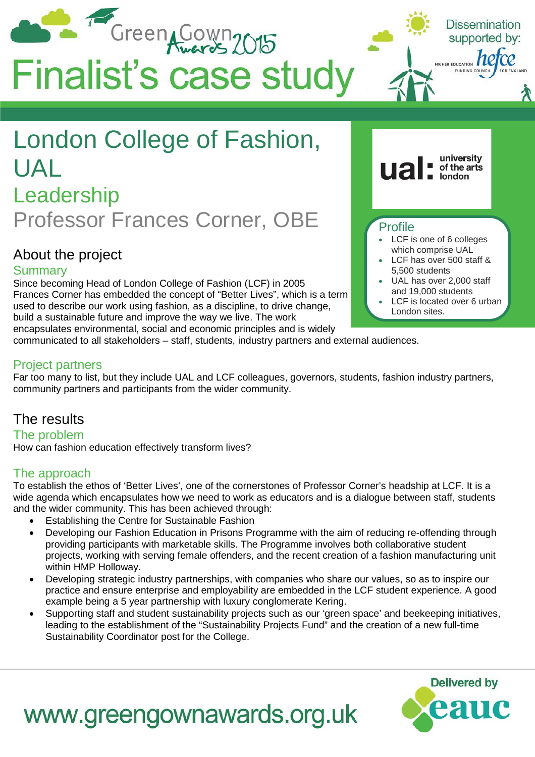

#### Project partners

Far too many to list, but they include UAL and LCF colleagues, governors, students, fashion industry partners, community partners and participants from the wider community.

## The results

The problem How can fashion education effectively transform lives?

### The approach

To establish the ethos of 'Better Lives', one of the cornerstones of Professor Corner's headship at LCF. It is a wide agenda which encapsulates how we need to work as educators and is a dialogue between staff, students and the wider community. This has been achieved through:

- Establishing the Centre for Sustainable Fashion
- Developing our Fashion Education in Prisons Programme with the aim of reducing re-offending through providing participants with marketable skills. The Programme involves both collaborative student projects, working with serving female offenders, and the recent creation of a fashion manufacturing unit within HMP Holloway.
- Developing strategic industry partnerships, with companies who share our values, so as to inspire our practice and ensure enterprise and employability are embedded in the LCF student experience. A good example being a 5 year partnership with luxury conglomerate Kering.
- Supporting staff and student sustainability projects such as our 'green space' and beekeeping initiatives, leading to the establishment of the "Sustainability Projects Fund" and the creation of a new full-time Sustainability Coordinator post for the College.



# www.greengownawards.org.uk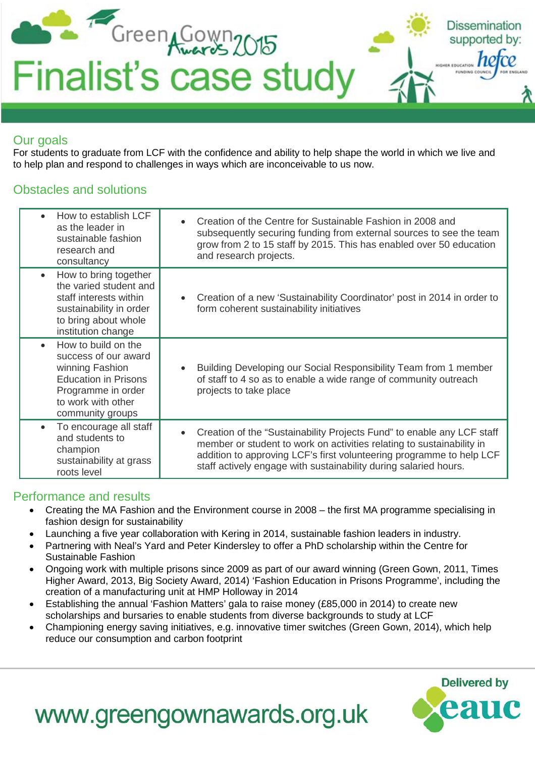

## Our goals

For students to graduate from LCF with the confidence and ability to help shape the world in which we live and to help plan and respond to challenges in ways which are inconceivable to us now.

## Obstacles and solutions

| How to establish LCF<br>as the leader in<br>sustainable fashion<br>research and<br>consultancy                                                                  | Creation of the Centre for Sustainable Fashion in 2008 and<br>$\bullet$<br>subsequently securing funding from external sources to see the team<br>grow from 2 to 15 staff by 2015. This has enabled over 50 education<br>and research projects.                                                          |
|-----------------------------------------------------------------------------------------------------------------------------------------------------------------|----------------------------------------------------------------------------------------------------------------------------------------------------------------------------------------------------------------------------------------------------------------------------------------------------------|
| How to bring together<br>$\bullet$<br>the varied student and<br>staff interests within<br>sustainability in order<br>to bring about whole<br>institution change | Creation of a new 'Sustainability Coordinator' post in 2014 in order to<br>form coherent sustainability initiatives                                                                                                                                                                                      |
| How to build on the<br>success of our award<br>winning Fashion<br><b>Education in Prisons</b><br>Programme in order<br>to work with other<br>community groups   | Building Developing our Social Responsibility Team from 1 member<br>of staff to 4 so as to enable a wide range of community outreach<br>projects to take place                                                                                                                                           |
| To encourage all staff<br>$\bullet$<br>and students to<br>champion<br>sustainability at grass<br>roots level                                                    | Creation of the "Sustainability Projects Fund" to enable any LCF staff<br>$\bullet$<br>member or student to work on activities relating to sustainability in<br>addition to approving LCF's first volunteering programme to help LCF<br>staff actively engage with sustainability during salaried hours. |

## Performance and results

- Creating the MA Fashion and the Environment course in 2008 the first MA programme specialising in fashion design for sustainability
- Launching a five year collaboration with Kering in 2014, sustainable fashion leaders in industry.
- Partnering with Neal's Yard and Peter Kindersley to offer a PhD scholarship within the Centre for Sustainable Fashion
- Ongoing work with multiple prisons since 2009 as part of our award winning (Green Gown, 2011, Times Higher Award, 2013, Big Society Award, 2014) 'Fashion Education in Prisons Programme', including the creation of a manufacturing unit at HMP Holloway in 2014
- Establishing the annual 'Fashion Matters' gala to raise money (£85,000 in 2014) to create new scholarships and bursaries to enable students from diverse backgrounds to study at LCF
- Championing energy saving initiatives, e.g. innovative timer switches (Green Gown, 2014), which help reduce our consumption and carbon footprint



# www.greengownawards.org.uk